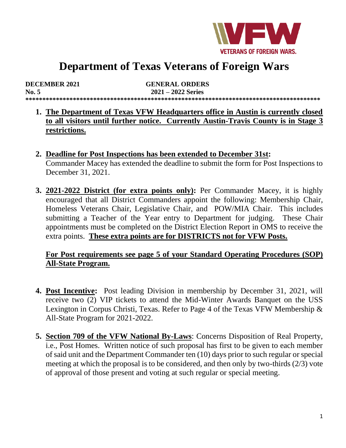

# **Department of Texas Veterans of Foreign Wars**

| <b>DECEMBER 2021</b> | <b>GENERAL ORDERS</b> |  |
|----------------------|-----------------------|--|
| No. 5                | $2021 - 2022$ Series  |  |
|                      |                       |  |

- **1. The Department of Texas VFW Headquarters office in Austin is currently closed to all visitors until further notice. Currently Austin-Travis County is in Stage 3 restrictions.**
- **2. Deadline for Post Inspections has been extended to December 31st:** Commander Macey has extended the deadline to submit the form for Post Inspections to December 31, 2021.
- **3. 2021-2022 District (for extra points only):** Per Commander Macey, it is highly encouraged that all District Commanders appoint the following: Membership Chair, Homeless Veterans Chair, Legislative Chair, and POW/MIA Chair. This includes submitting a Teacher of the Year entry to Department for judging. These Chair appointments must be completed on the District Election Report in OMS to receive the extra points. **These extra points are for DISTRICTS not for VFW Posts.**

# **For Post requirements see page 5 of your Standard Operating Procedures (SOP) All-State Program.**

- **4. Post Incentive:** Post leading Division in membership by December 31, 2021, will receive two (2) VIP tickets to attend the Mid-Winter Awards Banquet on the USS Lexington in Corpus Christi, Texas. Refer to Page 4 of the Texas VFW Membership & All-State Program for 2021-2022.
- **5. Section 709 of the VFW National By-Laws**: Concerns Disposition of Real Property, i.e., Post Homes. Written notice of such proposal has first to be given to each member of said unit and the Department Commander ten (10) days prior to such regular orspecial meeting at which the proposal is to be considered, and then only by two-thirds (2/3) vote of approval of those present and voting at such regular or special meeting.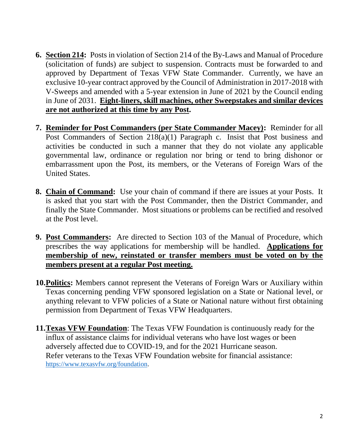- **6. Section 214:** Posts in violation of Section 214 of the By-Laws and Manual of Procedure (solicitation of funds) are subject to suspension. Contracts must be forwarded to and approved by Department of Texas VFW State Commander. Currently, we have an exclusive 10-year contract approved by the Council of Administration in 2017-2018 with V-Sweeps and amended with a 5-year extension in June of 2021 by the Council ending in June of 2031. **Eight-liners, skill machines, other Sweepstakes and similar devices are not authorized at this time by any Post.**
- **7. Reminder for Post Commanders (per State Commander Macey):** Reminder for all Post Commanders of Section 218(a)(1) Paragraph c. Insist that Post business and activities be conducted in such a manner that they do not violate any applicable governmental law, ordinance or regulation nor bring or tend to bring dishonor or embarrassment upon the Post, its members, or the Veterans of Foreign Wars of the United States.
- **8. Chain of Command:** Use your chain of command if there are issues at your Posts. It is asked that you start with the Post Commander, then the District Commander, and finally the State Commander. Most situations or problems can be rectified and resolved at the Post level.
- **9. Post Commanders:** Are directed to Section 103 of the Manual of Procedure, which prescribes the way applications for membership will be handled. **Applications for membership of new, reinstated or transfer members must be voted on by the members present at a regular Post meeting.**
- **10.Politics:** Members cannot represent the Veterans of Foreign Wars or Auxiliary within Texas concerning pending VFW sponsored legislation on a State or National level, or anything relevant to VFW policies of a State or National nature without first obtaining permission from Department of Texas VFW Headquarters.
- **11.Texas VFW Foundation**: The Texas VFW Foundation is continuously ready for the influx of assistance claims for individual veterans who have lost wages or been adversely affected due to COVID-19, and for the 2021 Hurricane season. Refer veterans to the Texas VFW Foundation website for financial assistance: [https://www.texasvfw.org/foundation.](https://www.texasvfw.org/foundation)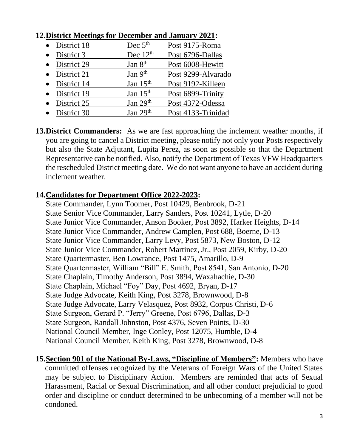| • District 18         | Dec $5th$  | Post 9175-Roma     |
|-----------------------|------------|--------------------|
| $\bullet$ District 3  | Dec $12th$ | Post 6796-Dallas   |
| • District 29         | Jan $8th$  | Post 6008-Hewitt   |
| $\bullet$ District 21 | Jan $9th$  | Post 9299-Alvarado |
| • District 14         | Jan $15th$ | Post 9192-Killeen  |
| • District 19         | Jan $15th$ | Post 6899-Trinity  |
| $\bullet$ District 25 | Jan $29th$ | Post 4372-Odessa   |
| • District 30         | Jan $29th$ | Post 4133-Trinidad |

## **12.District Meetings for December and January 2021:**

**13.District Commanders:** As we are fast approaching the inclement weather months, if you are going to cancel a District meeting, please notify not only your Posts respectively but also the State Adjutant, Lupita Perez, as soon as possible so that the Department Representative can be notified. Also, notify the Department of Texas VFW Headquarters the rescheduled District meeting date. We do not want anyone to have an accident during inclement weather.

# **14.Candidates for Department Office 2022-2023:**

State Commander, Lynn Toomer, Post 10429, Benbrook, D-21 State Senior Vice Commander, Larry Sanders, Post 10241, Lytle, D-20 State Junior Vice Commander, Anson Booker, Post 3892, Harker Heights, D-14 State Junior Vice Commander, Andrew Camplen, Post 688, Boerne, D-13 State Junior Vice Commander, Larry Levy, Post 5873, New Boston, D-12 State Junior Vice Commander, Robert Martinez, Jr., Post 2059, Kirby, D-20 State Quartermaster, Ben Lowrance, Post 1475, Amarillo, D-9 State Quartermaster, William "Bill" E. Smith, Post 8541, San Antonio, D-20 State Chaplain, Timothy Anderson, Post 3894, Waxahachie, D-30 State Chaplain, Michael "Foy" Day, Post 4692, Bryan, D-17 State Judge Advocate, Keith King, Post 3278, Brownwood, D-8 State Judge Advocate, Larry Velasquez, Post 8932, Corpus Christi, D-6 State Surgeon, Gerard P. "Jerry" Greene, Post 6796, Dallas, D-3 State Surgeon, Randall Johnston, Post 4376, Seven Points, D-30 National Council Member, Inge Conley, Post 12075, Humble, D-4 National Council Member, Keith King, Post 3278, Brownwood, D-8

**15.Section 901 of the National By-Laws, "Discipline of Members":** Members who have committed offenses recognized by the Veterans of Foreign Wars of the United States may be subject to Disciplinary Action. Members are reminded that acts of Sexual Harassment, Racial or Sexual Discrimination, and all other conduct prejudicial to good order and discipline or conduct determined to be unbecoming of a member will not be condoned.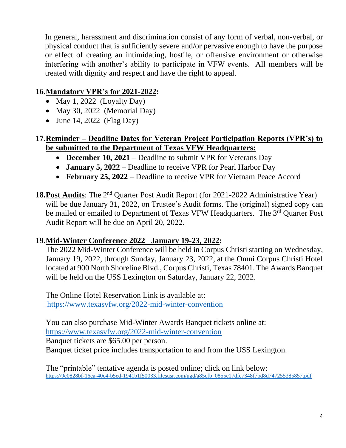In general, harassment and discrimination consist of any form of verbal, non-verbal, or physical conduct that is sufficiently severe and/or pervasive enough to have the purpose or effect of creating an intimidating, hostile, or offensive environment or otherwise interfering with another's ability to participate in VFW events. All members will be treated with dignity and respect and have the right to appeal.

# **16.Mandatory VPR's for 2021-2022:**

- May 1, 2022 (Loyalty Day)
- May 30, 2022 (Memorial Day)
- June 14, 2022 (Flag Day)

# **17.Reminder – Deadline Dates for Veteran Project Participation Reports (VPR's) to be submitted to the Department of Texas VFW Headquarters:**

- **December 10, 2021** Deadline to submit VPR for Veterans Day
- **January 5, 2022** Deadline to receive VPR for Pearl Harbor Day
- **February 25, 2022**  Deadline to receive VPR for Vietnam Peace Accord
- 18. Post Audits: The 2<sup>nd</sup> Quarter Post Audit Report (for 2021-2022 Administrative Year) will be due January 31, 2022, on Trustee's Audit forms. The (original) signed copy can be mailed or emailed to Department of Texas VFW Headquarters. The 3<sup>rd</sup> Quarter Post Audit Report will be due on April 20, 2022.

# **19.Mid-Winter Conference 2022 January 19-23, 2022:**

The 2022 Mid-Winter Conference will be held in Corpus Christi starting on Wednesday, January 19, 2022, through Sunday, January 23, 2022, at the Omni Corpus Christi Hotel located at 900 North Shoreline Blvd., Corpus Christi, Texas 78401. The Awards Banquet will be held on the USS Lexington on Saturday, January 22, 2022.

The Online Hotel Reservation Link is available at: <https://www.texasvfw.org/2022-mid-winter-convention>

You can also purchase Mid-Winter Awards Banquet tickets online at: <https://www.texasvfw.org/2022-mid-winter-convention> Banquet tickets are \$65.00 per person. Banquet ticket price includes transportation to and from the USS Lexington.

The "printable" tentative agenda is posted online; click on link below: https://9e0828bf-16ea-40c4-b5ed-1941b1f50033.filesusr.com/ugd/a85cfb\_0855e17dfc7348f7bd8d747255385857.pdf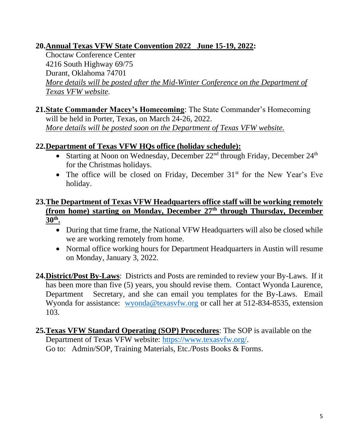# **20.Annual Texas VFW State Convention 2022 June 15-19, 2022:**

 Choctaw Conference Center 4216 South Highway 69/75 Durant, Oklahoma 74701 *More details will be posted after the Mid-Winter Conference on the Department of Texas VFW website.* 

**21.State Commander Macey's Homecoming**: The State Commander's Homecoming will be held in Porter, Texas, on March 24-26, 2022. *More details will be posted soon on the Department of Texas VFW website.* 

# **22.Department of Texas VFW HQs office (holiday schedule):**

- Starting at Noon on Wednesday, December  $22<sup>nd</sup>$  through Friday, December  $24<sup>th</sup>$ for the Christmas holidays.
- The office will be closed on Friday, December  $31<sup>st</sup>$  for the New Year's Eve holiday.

# **23.The Department of Texas VFW Headquarters office staff will be working remotely (from home) starting on Monday, December 27th through Thursday, December 30th .**

- During that time frame, the National VFW Headquarters will also be closed while we are working remotely from home.
- Normal office working hours for Department Headquarters in Austin will resume on Monday, January 3, 2022.
- **24.District/Post By-Laws**: Districts and Posts are reminded to review your By-Laws. If it has been more than five (5) years, you should revise them. Contact Wyonda Laurence, Department Secretary, and she can email you templates for the By-Laws. Email Wyonda for assistance: [wyonda@texasvfw.org](mailto:wyonda@texasvfw.org) or call her at 512-834-8535, extension 103.
- **25.Texas VFW Standard Operating (SOP) Procedures**: The SOP is available on the Department of Texas VFW website: [https://www.texasvfw.org/.](https://www.texasvfw.org/) Go to: Admin/SOP, Training Materials, Etc./Posts Books & Forms.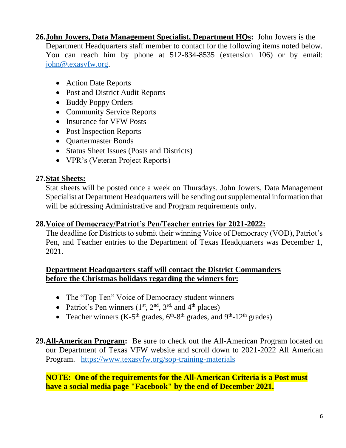**26.John Jowers, Data Management Specialist, Department HQs:** John Jowers is the Department Headquarters staff member to contact for the following items noted below. You can reach him by phone at 512-834-8535 (extension 106) or by email: [john@texasvfw.org.](mailto:john@texasvfw.org)

- Action Date Reports
- Post and District Audit Reports
- Buddy Poppy Orders
- Community Service Reports
- Insurance for VFW Posts
- Post Inspection Reports
- Quartermaster Bonds
- Status Sheet Issues (Posts and Districts)
- VPR's (Veteran Project Reports)

## **27.Stat Sheets:**

Stat sheets will be posted once a week on Thursdays. John Jowers, Data Management Specialist at Department Headquarters will be sending out supplemental information that will be addressing Administrative and Program requirements only.

## **28.Voice of Democracy/Patriot's Pen/Teacher entries for 2021-2022:**

The deadline for Districts to submit their winning Voice of Democracy (VOD), Patriot's Pen, and Teacher entries to the Department of Texas Headquarters was December 1, 2021.

## **Department Headquarters staff will contact the District Commanders before the Christmas holidays regarding the winners for:**

- The "Top Ten" Voice of Democracy student winners
- Patriot's Pen winners  $(1^{st}, 2^{nd}, 3^{rd}, 3^{rd})$  and  $4^{th}$  places)
- Teacher winners (K-5<sup>th</sup> grades,  $6^{th}$ -8<sup>th</sup> grades, and 9<sup>th</sup>-12<sup>th</sup> grades)

## **29.All-American Program:** Be sure to check out the All-American Program located on our Department of Texas VFW website and scroll down to 2021-2022 All American Program. <https://www.texasvfw.org/sop-training-materials>

**NOTE: One of the requirements for the All-American Criteria is a Post must have a social media page "Facebook" by the end of December 2021.**